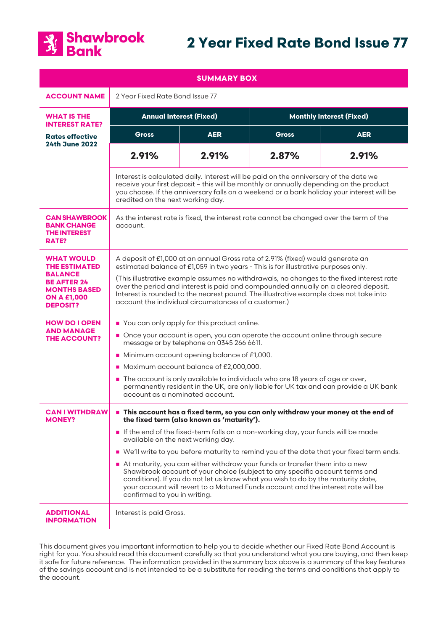

# **2 Year Fixed Rate Bond Issue 77**

| <b>SUMMARY BOX</b>                                                                                                                                |                                                                                                                                                                                                                                                                                                                                                                                                                                                                                                                                                                                                                                                                                                                              |            |                                 |            |
|---------------------------------------------------------------------------------------------------------------------------------------------------|------------------------------------------------------------------------------------------------------------------------------------------------------------------------------------------------------------------------------------------------------------------------------------------------------------------------------------------------------------------------------------------------------------------------------------------------------------------------------------------------------------------------------------------------------------------------------------------------------------------------------------------------------------------------------------------------------------------------------|------------|---------------------------------|------------|
| <b>ACCOUNT NAME</b>                                                                                                                               | 2 Year Fixed Rate Bond Issue 77                                                                                                                                                                                                                                                                                                                                                                                                                                                                                                                                                                                                                                                                                              |            |                                 |            |
| <b>WHAT IS THE</b><br><b>INTEREST RATE?</b>                                                                                                       | <b>Annual Interest (Fixed)</b>                                                                                                                                                                                                                                                                                                                                                                                                                                                                                                                                                                                                                                                                                               |            | <b>Monthly Interest (Fixed)</b> |            |
| <b>Rates effective</b><br><b>24th June 2022</b>                                                                                                   | <b>Gross</b>                                                                                                                                                                                                                                                                                                                                                                                                                                                                                                                                                                                                                                                                                                                 | <b>AER</b> | <b>Gross</b>                    | <b>AER</b> |
|                                                                                                                                                   | 2.91%                                                                                                                                                                                                                                                                                                                                                                                                                                                                                                                                                                                                                                                                                                                        | 2.91%      | 2.87%                           | 2.91%      |
|                                                                                                                                                   | Interest is calculated daily. Interest will be paid on the anniversary of the date we<br>receive your first deposit - this will be monthly or annually depending on the product<br>you choose. If the anniversary falls on a weekend or a bank holiday your interest will be<br>credited on the next working day.                                                                                                                                                                                                                                                                                                                                                                                                            |            |                                 |            |
| <b>CAN SHAWBROOK</b><br><b>BANK CHANGE</b><br><b>THE INTEREST</b><br>RATE?                                                                        | As the interest rate is fixed, the interest rate cannot be changed over the term of the<br>account.                                                                                                                                                                                                                                                                                                                                                                                                                                                                                                                                                                                                                          |            |                                 |            |
| <b>WHAT WOULD</b><br><b>THE ESTIMATED</b><br><b>BALANCE</b><br><b>BE AFTER 24</b><br><b>MONTHS BASED</b><br><b>ON A £1,000</b><br><b>DEPOSIT?</b> | A deposit of £1,000 at an annual Gross rate of 2.91% (fixed) would generate an<br>estimated balance of £1,059 in two years - This is for illustrative purposes only.<br>(This illustrative example assumes no withdrawals, no changes to the fixed interest rate<br>over the period and interest is paid and compounded annually on a cleared deposit.<br>Interest is rounded to the nearest pound. The illustrative example does not take into<br>account the individual circumstances of a customer.)                                                                                                                                                                                                                      |            |                                 |            |
| <b>HOW DO I OPEN</b><br><b>AND MANAGE</b><br><b>THE ACCOUNT?</b>                                                                                  | You can only apply for this product online.<br>Once your account is open, you can operate the account online through secure<br>message or by telephone on 0345 266 6611.<br>Minimum account opening balance of £1,000.<br>Maximum account balance of £2,000,000.<br>■ The account is only available to individuals who are 18 years of age or over,<br>permanently resident in the UK, are only liable for UK tax and can provide a UK bank<br>account as a nominated account.                                                                                                                                                                                                                                               |            |                                 |            |
| <b>CAN I WITHDRAW</b><br><b>MONEY?</b>                                                                                                            | This account has a fixed term, so you can only withdraw your money at the end of<br>the fixed term (also known as 'maturity').<br>If the end of the fixed-term falls on a non-working day, your funds will be made<br>available on the next working day.<br>■ We'll write to you before maturity to remind you of the date that your fixed term ends.<br>At maturity, you can either withdraw your funds or transfer them into a new<br>Shawbrook account of your choice (subject to any specific account terms and<br>conditions). If you do not let us know what you wish to do by the maturity date,<br>your account will revert to a Matured Funds account and the interest rate will be<br>confirmed to you in writing. |            |                                 |            |
| <b>ADDITIONAL</b><br><b>INFORMATION</b>                                                                                                           | Interest is paid Gross.                                                                                                                                                                                                                                                                                                                                                                                                                                                                                                                                                                                                                                                                                                      |            |                                 |            |

This document gives you important information to help you to decide whether our Fixed Rate Bond Account is right for you. You should read this document carefully so that you understand what you are buying, and then keep it safe for future reference. The information provided in the summary box above is a summary of the key features of the savings account and is not intended to be a substitute for reading the terms and conditions that apply to the account.